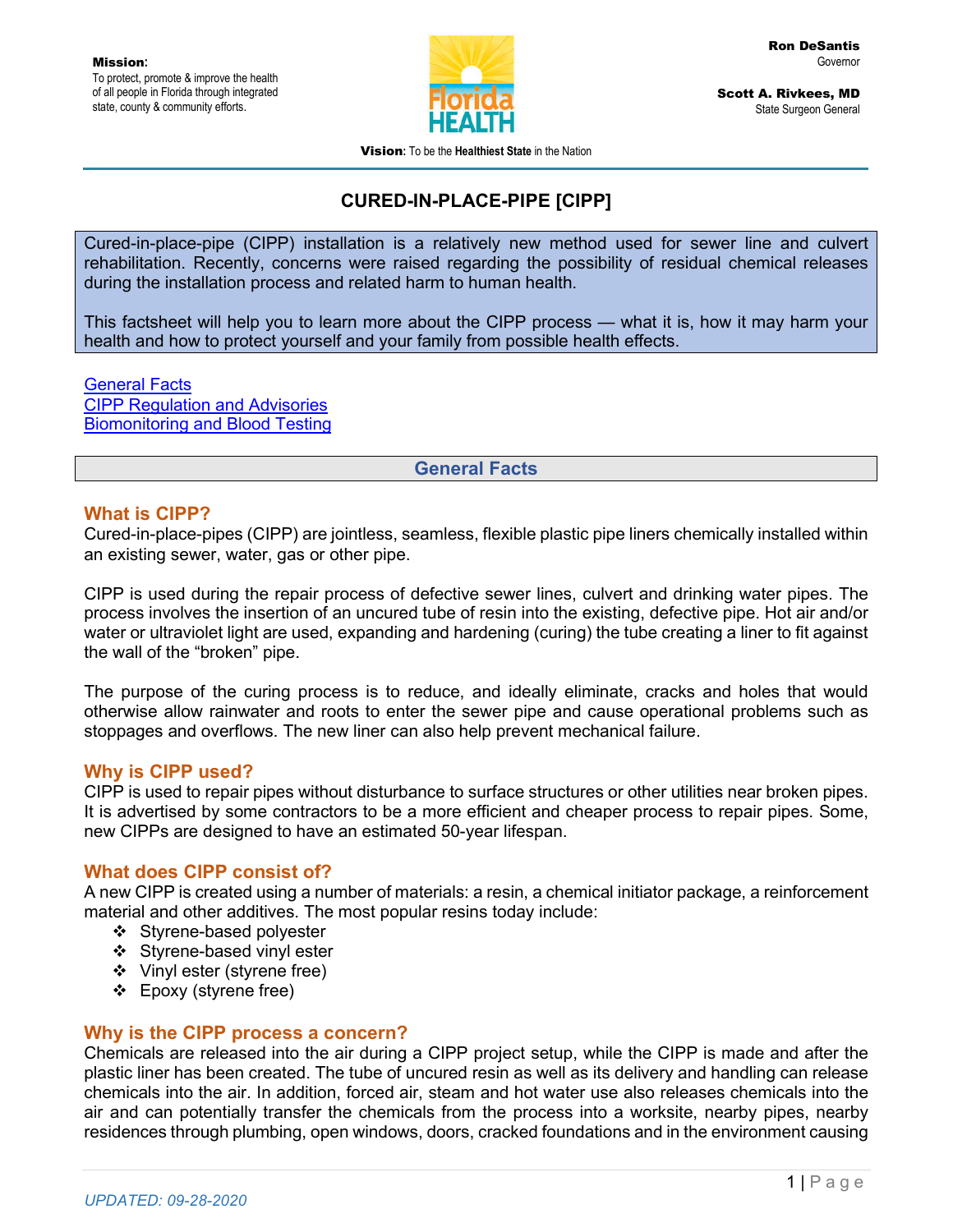

Scott A. Rivkees, MD State Surgeon General

Vision**:** To be the **Healthiest State** in the Nation

# **CURED-IN-PLACE-PIPE [CIPP]**

Cured-in-place-pipe (CIPP) installation is a relatively new method used for sewer line and culvert rehabilitation. Recently, concerns were raised regarding the possibility of residual chemical releases during the installation process and related harm to human health.

This factsheet will help you to learn more about the CIPP process — what it is, how it may harm your health and how to protect yourself and your family from possible health effects.

General Facts CIPP Regulation and Advisories Biomonitoring and Blood Testing

#### **General Facts**

### **What is CIPP?**

Cured-in-place-pipes (CIPP) are jointless, seamless, flexible plastic pipe liners chemically installed within an existing sewer, water, gas or other pipe.

CIPP is used during the repair process of defective sewer lines, culvert and drinking water pipes. The process involves the insertion of an uncured tube of resin into the existing, defective pipe. Hot air and/or water or ultraviolet light are used, expanding and hardening (curing) the tube creating a liner to fit against the wall of the "broken" pipe.

The purpose of the curing process is to reduce, and ideally eliminate, cracks and holes that would otherwise allow rainwater and roots to enter the sewer pipe and cause operational problems such as stoppages and overflows. The new liner can also help prevent mechanical failure.

#### **Why is CIPP used?**

CIPP is used to repair pipes without disturbance to surface structures or other utilities near broken pipes. It is advertised by some contractors to be a more efficient and cheaper process to repair pipes. Some, new CIPPs are designed to have an estimated 50-year lifespan.

### **What does CIPP consist of?**

A new CIPP is created using a number of materials: a resin, a chemical initiator package, a reinforcement material and other additives. The most popular resins today include:

- ❖ Styrene-based polyester
- Styrene-based vinyl ester
- Vinyl ester (styrene free)
- Epoxy (styrene free)

#### **Why is the CIPP process a concern?**

Chemicals are released into the air during a CIPP project setup, while the CIPP is made and after the plastic liner has been created. The tube of uncured resin as well as its delivery and handling can release chemicals into the air. In addition, forced air, steam and hot water use also releases chemicals into the air and can potentially transfer the chemicals from the process into a worksite, nearby pipes, nearby residences through plumbing, open windows, doors, cracked foundations and in the environment causing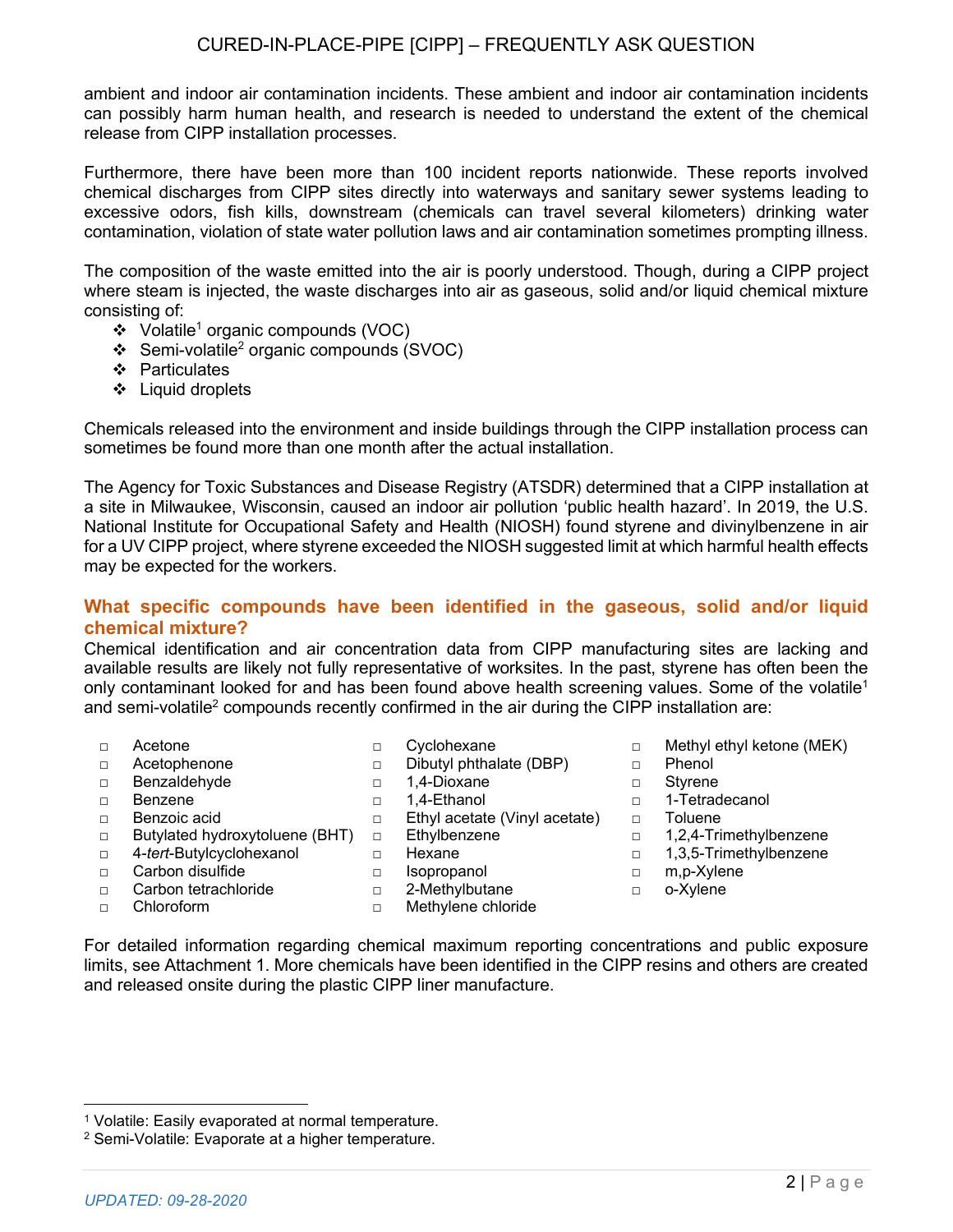ambient and indoor air contamination incidents. These ambient and indoor air contamination incidents can possibly harm human health, and research is needed to understand the extent of the chemical release from CIPP installation processes.

Furthermore, there have been more than 100 incident reports nationwide. These reports involved chemical discharges from CIPP sites directly into waterways and sanitary sewer systems leading to excessive odors, fish kills, downstream (chemicals can travel several kilometers) drinking water contamination, violation of state water pollution laws and air contamination sometimes prompting illness.

The composition of the waste emitted into the air is poorly understood. Though, during a CIPP project where steam is injected, the waste discharges into air as gaseous, solid and/or liquid chemical mixture consisting of:

- $\div$  Volatile<sup>1</sup> organic compounds (VOC)
- $\div$  Semi-volatile<sup>2</sup> organic compounds (SVOC)
- ❖ Particulates
- ❖ Liquid droplets

Chemicals released into the environment and inside buildings through the CIPP installation process can sometimes be found more than one month after the actual installation.

The Agency for Toxic Substances and Disease Registry (ATSDR) determined that a CIPP installation at a site in Milwaukee, Wisconsin, caused an indoor air pollution 'public health hazard'. In 2019, the U.S. National Institute for Occupational Safety and Health (NIOSH) found styrene and divinylbenzene in air for a UV CIPP project, where styrene exceeded the NIOSH suggested limit at which harmful health effects may be expected for the workers.

## **What specific compounds have been identified in the gaseous, solid and/or liquid chemical mixture?**

Chemical identification and air concentration data from CIPP manufacturing sites are lacking and available results are likely not fully representative of worksites. In the past, styrene has often been the only contaminant looked for and has been found above health screening values. Some of the volatile<sup>1</sup> and semi-volatile<sup>2</sup> compounds recently confirmed in the air during the CIPP installation are:

□ Dibutyl phthalate (DBP)

- □ Acetone □ Cyclohexane
- □ Acetophenone
- □ Benzaldehyde □ 1,4-Dioxane □ Styrene
- 
- □ Benzoic acid □ Ethyl acetate (Vinyl acetate) □ Toluene
- □ Butylated hydroxytoluene (BHT)
	- Ethylbenzene □ Hexane
- □ 4-*tert*-Butylcyclohexanol
	- □ Isopropanol
- □ Carbon tetrachloride

□ Carbon disulfide

□ Chloroform

□ 2-Methylbutane □ Methylene chloride

- □ Methyl ethyl ketone (MEK)
- □ Phenol
- 
- □ Benzene □ 1.4-Ethanol □ 1-Tetradecanol
	-
	- □ 1,2,4-Trimethylbenzene
	- □ 1,3,5-Trimethylbenzene
	- □ m,p-Xylene
	- □ o-Xylene
- For detailed information regarding chemical maximum reporting concentrations and public exposure limits, see Attachment 1. More chemicals have been identified in the CIPP resins and others are created and released onsite during the plastic CIPP liner manufacture.
- - -

<sup>1</sup> Volatile: Easily evaporated at normal temperature.

<sup>2</sup> Semi-Volatile: Evaporate at a higher temperature.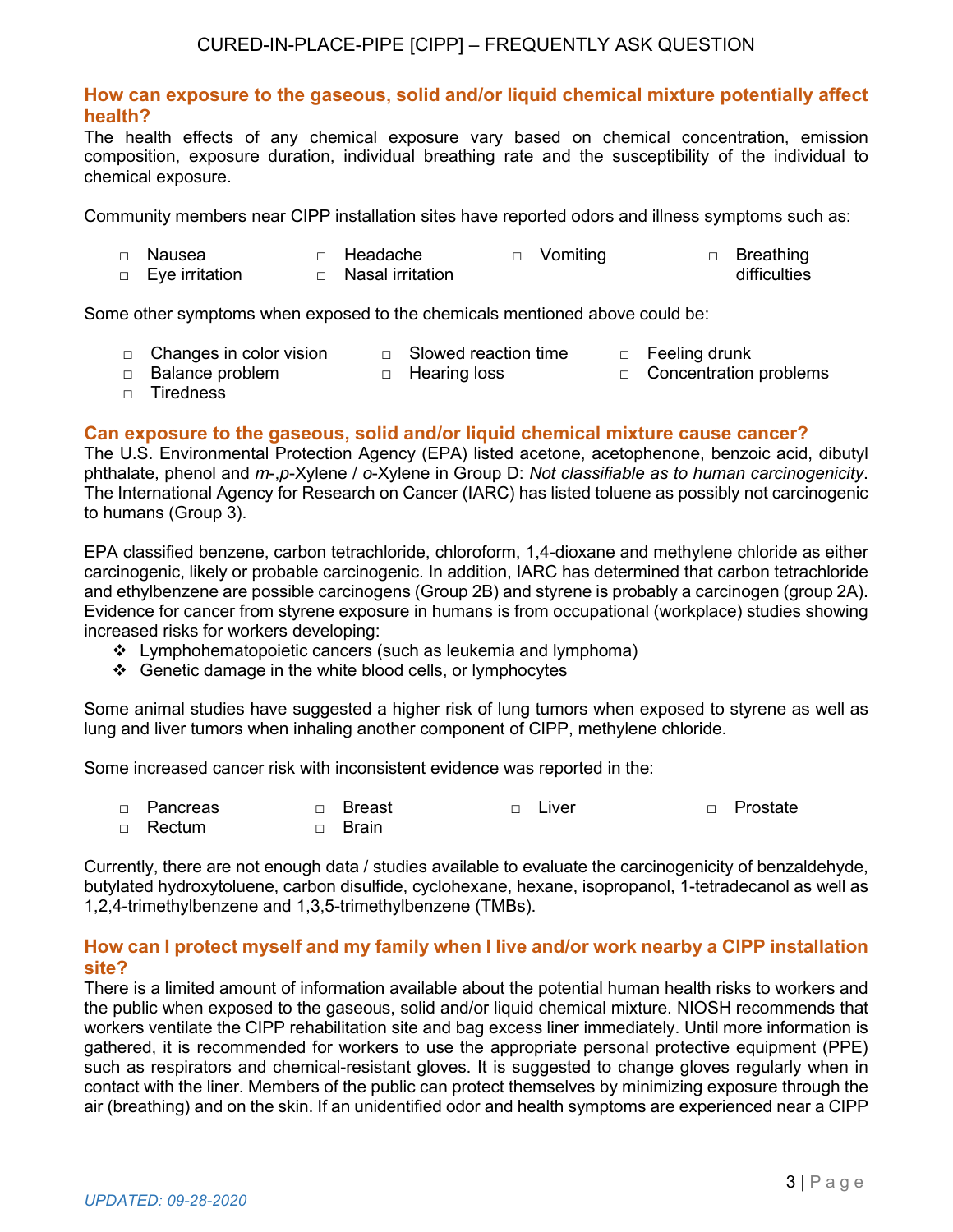# CURED-IN-PLACE-PIPE [CIPP] – FREQUENTLY ASK QUESTION

### **How can exposure to the gaseous, solid and/or liquid chemical mixture potentially affect health?**

The health effects of any chemical exposure vary based on chemical concentration, emission composition, exposure duration, individual breathing rate and the susceptibility of the individual to chemical exposure.

Community members near CIPP installation sites have reported odors and illness symptoms such as:

| □ Nausea         | □ Headache         | □ Vomiting | □ Breathing  |
|------------------|--------------------|------------|--------------|
| □ Eye irritation | □ Nasal irritation |            | difficulties |

Some other symptoms when exposed to the chemicals mentioned above could be:

- □ Changes in color vision □ Slowed reaction time □ Feeling drunk
- □ Balance problem □ Hearing loss □ Concentration problems
- 

□ Tiredness

## **Can exposure to the gaseous, solid and/or liquid chemical mixture cause cancer?**

The U.S. Environmental Protection Agency (EPA) listed acetone, acetophenone, benzoic acid, dibutyl phthalate, phenol and *m*-,*p*-Xylene / *o*-Xylene in Group D: *Not classifiable as to human carcinogenicity*. The International Agency for Research on Cancer (IARC) has listed toluene as possibly not carcinogenic to humans (Group 3).

EPA classified benzene, carbon tetrachloride, chloroform, 1,4-dioxane and methylene chloride as either carcinogenic, likely or probable carcinogenic. In addition, IARC has determined that carbon tetrachloride and ethylbenzene are possible carcinogens (Group 2B) and styrene is probably a carcinogen (group 2A). Evidence for cancer from styrene exposure in humans is from occupational (workplace) studies showing increased risks for workers developing:

- ❖ Lymphohematopoietic cancers (such as leukemia and lymphoma)
- ❖ Genetic damage in the white blood cells, or lymphocytes

Some animal studies have suggested a higher risk of lung tumors when exposed to styrene as well as lung and liver tumors when inhaling another component of CIPP, methylene chloride.

Some increased cancer risk with inconsistent evidence was reported in the:

| $\Box$ Pancreas | $\Box$ Breast | □ Liver | □ Prostate |
|-----------------|---------------|---------|------------|
| $\Box$ Rectum   | □ Brain       |         |            |

Currently, there are not enough data / studies available to evaluate the carcinogenicity of benzaldehyde, butylated hydroxytoluene, carbon disulfide, cyclohexane, hexane, isopropanol, 1-tetradecanol as well as 1,2,4-trimethylbenzene and 1,3,5-trimethylbenzene (TMBs).

### **How can I protect myself and my family when I live and/or work nearby a CIPP installation site?**

There is a limited amount of information available about the potential human health risks to workers and the public when exposed to the gaseous, solid and/or liquid chemical mixture. NIOSH recommends that workers ventilate the CIPP rehabilitation site and bag excess liner immediately. Until more information is gathered, it is recommended for workers to use the appropriate personal protective equipment (PPE) such as respirators and chemical-resistant gloves. It is suggested to change gloves regularly when in contact with the liner. Members of the public can protect themselves by minimizing exposure through the air (breathing) and on the skin. If an unidentified odor and health symptoms are experienced near a CIPP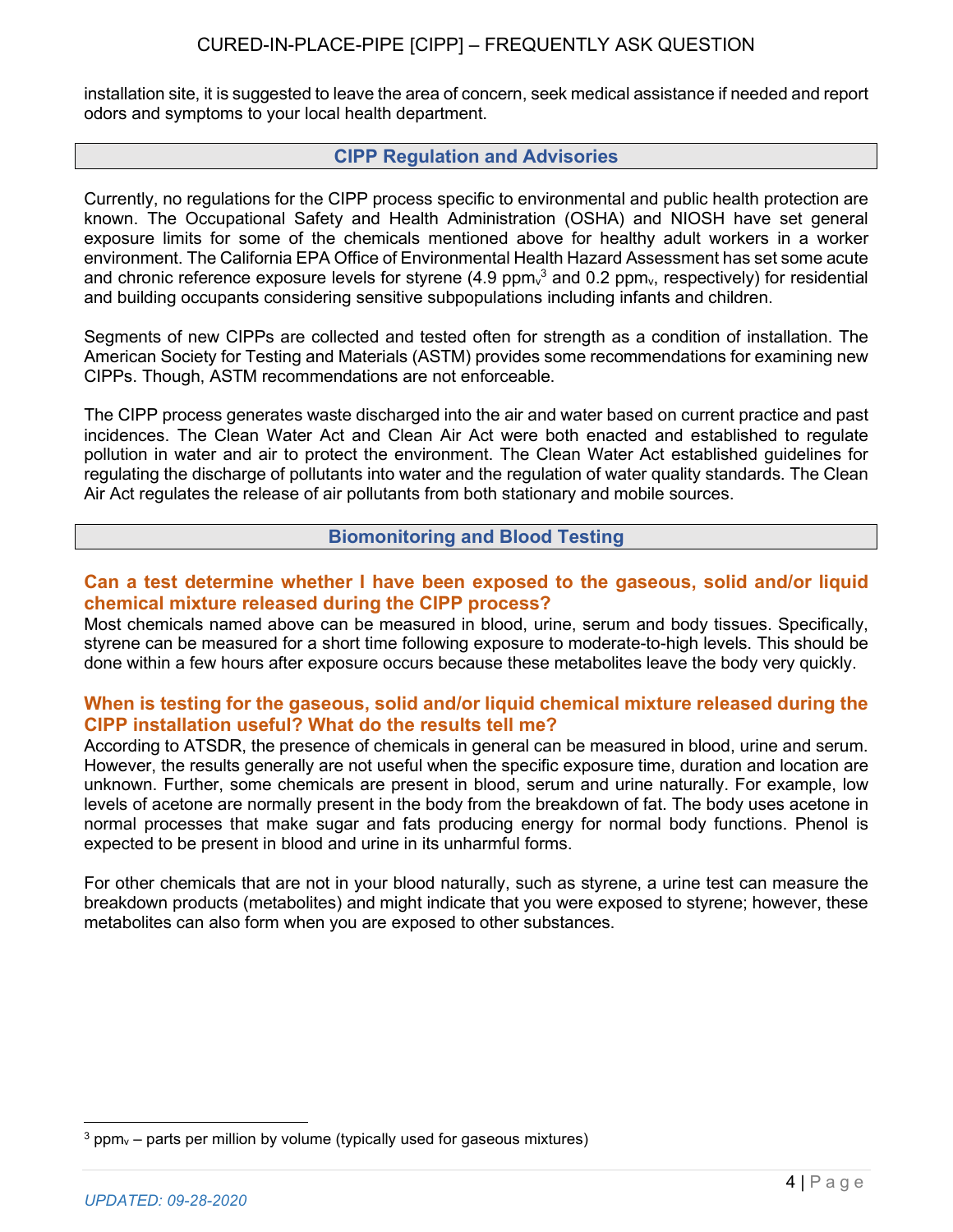installation site, it is suggested to leave the area of concern, seek medical assistance if needed and report odors and symptoms to your local health department.

### **CIPP Regulation and Advisories**

Currently, no regulations for the CIPP process specific to environmental and public health protection are known. The Occupational Safety and Health Administration (OSHA) and NIOSH have set general exposure limits for some of the chemicals mentioned above for healthy adult workers in a worker environment. The California EPA Office of Environmental Health Hazard Assessment has set some acute and chronic reference exposure levels for styrene (4.9  $ppm_v$ <sup>3</sup> and 0.2  $ppm_v$ , respectively) for residential and building occupants considering sensitive subpopulations including infants and children.

Segments of new CIPPs are collected and tested often for strength as a condition of installation. The American Society for Testing and Materials (ASTM) provides some recommendations for examining new CIPPs. Though, ASTM recommendations are not enforceable.

The CIPP process generates waste discharged into the air and water based on current practice and past incidences. The Clean Water Act and Clean Air Act were both enacted and established to regulate pollution in water and air to protect the environment. The Clean Water Act established guidelines for regulating the discharge of pollutants into water and the regulation of water quality standards. The Clean Air Act regulates the release of air pollutants from both stationary and mobile sources.

## **Biomonitoring and Blood Testing**

## **Can a test determine whether I have been exposed to the gaseous, solid and/or liquid chemical mixture released during the CIPP process?**

Most chemicals named above can be measured in blood, urine, serum and body tissues. Specifically, styrene can be measured for a short time following exposure to moderate-to-high levels. This should be done within a few hours after exposure occurs because these metabolites leave the body very quickly.

## **When is testing for the gaseous, solid and/or liquid chemical mixture released during the CIPP installation useful? What do the results tell me?**

According to ATSDR, the presence of chemicals in general can be measured in blood, urine and serum. However, the results generally are not useful when the specific exposure time, duration and location are unknown. Further, some chemicals are present in blood, serum and urine naturally. For example, low levels of acetone are normally present in the body from the breakdown of fat. The body uses acetone in normal processes that make sugar and fats producing energy for normal body functions. Phenol is expected to be present in blood and urine in its unharmful forms.

For other chemicals that are not in your blood naturally, such as styrene, a urine test can measure the breakdown products (metabolites) and might indicate that you were exposed to styrene; however, these metabolites can also form when you are exposed to other substances.

 $3$  ppm<sub>y</sub> – parts per million by volume (typically used for gaseous mixtures)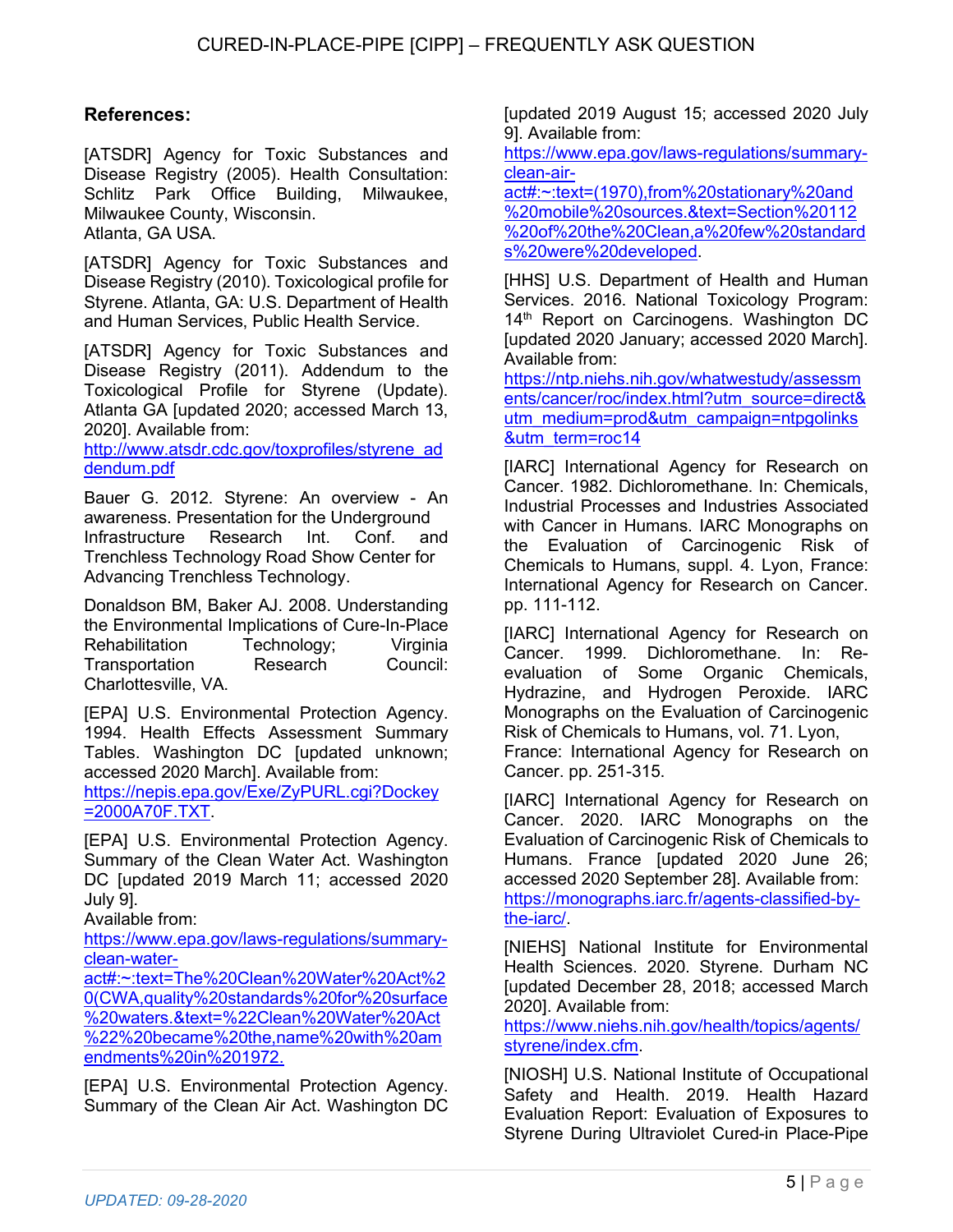# **References:**

[ATSDR] Agency for Toxic Substances and Disease Registry (2005). Health Consultation: Schlitz Park Office Building, Milwaukee, Milwaukee County, Wisconsin. Atlanta, GA USA.

[ATSDR] Agency for Toxic Substances and Disease Registry (2010). Toxicological profile for Styrene. Atlanta, GA: U.S. Department of Health and Human Services, Public Health Service.

[ATSDR] Agency for Toxic Substances and Disease Registry (2011). Addendum to the Toxicological Profile for Styrene (Update). Atlanta GA [updated 2020; accessed March 13, 2020]. Available from:

http://www.atsdr.cdc.gov/toxprofiles/styrene\_ad dendum.pdf

Bauer G. 2012. Styrene: An overview - An awareness. Presentation for the Underground Infrastructure Research Int. Conf. and Trenchless Technology Road Show Center for Advancing Trenchless Technology.

Donaldson BM, Baker AJ. 2008. Understanding the Environmental Implications of Cure-In-Place Rehabilitation Technology: Virginia Transportation Research Council: Charlottesville, VA.

[EPA] U.S. Environmental Protection Agency. 1994. Health Effects Assessment Summary Tables. Washington DC [updated unknown; accessed 2020 March]. Available from: https://nepis.epa.gov/Exe/ZyPURL.cgi?Dockey

=2000A70F.TXT.

[EPA] U.S. Environmental Protection Agency. Summary of the Clean Water Act. Washington DC [updated 2019 March 11; accessed 2020 July 9].

Available from:

https://www.epa.gov/laws-regulations/summaryclean-water-

act#:~:text=The%20Clean%20Water%20Act%2 0(CWA,quality%20standards%20for%20surface %20waters.&text=%22Clean%20Water%20Act %22%20became%20the,name%20with%20am endments%20in%201972.

[EPA] U.S. Environmental Protection Agency. Summary of the Clean Air Act. Washington DC [updated 2019 August 15; accessed 2020 July 9]. Available from:

https://www.epa.gov/laws-regulations/summaryclean-air-

act#:~:text=(1970),from%20stationary%20and %20mobile%20sources.&text=Section%20112 %20of%20the%20Clean,a%20few%20standard s%20were%20developed.

[HHS] U.S. Department of Health and Human Services. 2016. National Toxicology Program: 14<sup>th</sup> Report on Carcinogens. Washington DC [updated 2020 January; accessed 2020 March]. Available from:

https://ntp.niehs.nih.gov/whatwestudy/assessm ents/cancer/roc/index.html?utm\_source=direct& utm\_medium=prod&utm\_campaign=ntpgolinks &utm\_term=roc14

[IARC] International Agency for Research on Cancer. 1982. Dichloromethane. In: Chemicals, Industrial Processes and Industries Associated with Cancer in Humans. IARC Monographs on the Evaluation of Carcinogenic Risk of Chemicals to Humans, suppl. 4. Lyon, France: International Agency for Research on Cancer. pp. 111-112.

[IARC] International Agency for Research on Cancer. 1999. Dichloromethane. In: Reevaluation of Some Organic Chemicals, Hydrazine, and Hydrogen Peroxide. IARC Monographs on the Evaluation of Carcinogenic Risk of Chemicals to Humans, vol. 71. Lyon, France: International Agency for Research on

Cancer. pp. 251-315.

[IARC] International Agency for Research on Cancer. 2020. IARC Monographs on the Evaluation of Carcinogenic Risk of Chemicals to Humans. France [updated 2020 June 26; accessed 2020 September 28]. Available from: https://monographs.iarc.fr/agents-classified-bythe-iarc/.

[NIEHS] National Institute for Environmental Health Sciences. 2020. Styrene. Durham NC [updated December 28, 2018; accessed March 2020]. Available from:

https://www.niehs.nih.gov/health/topics/agents/ styrene/index.cfm.

[NIOSH] U.S. National Institute of Occupational Safety and Health. 2019. Health Hazard Evaluation Report: Evaluation of Exposures to Styrene During Ultraviolet Cured-in Place-Pipe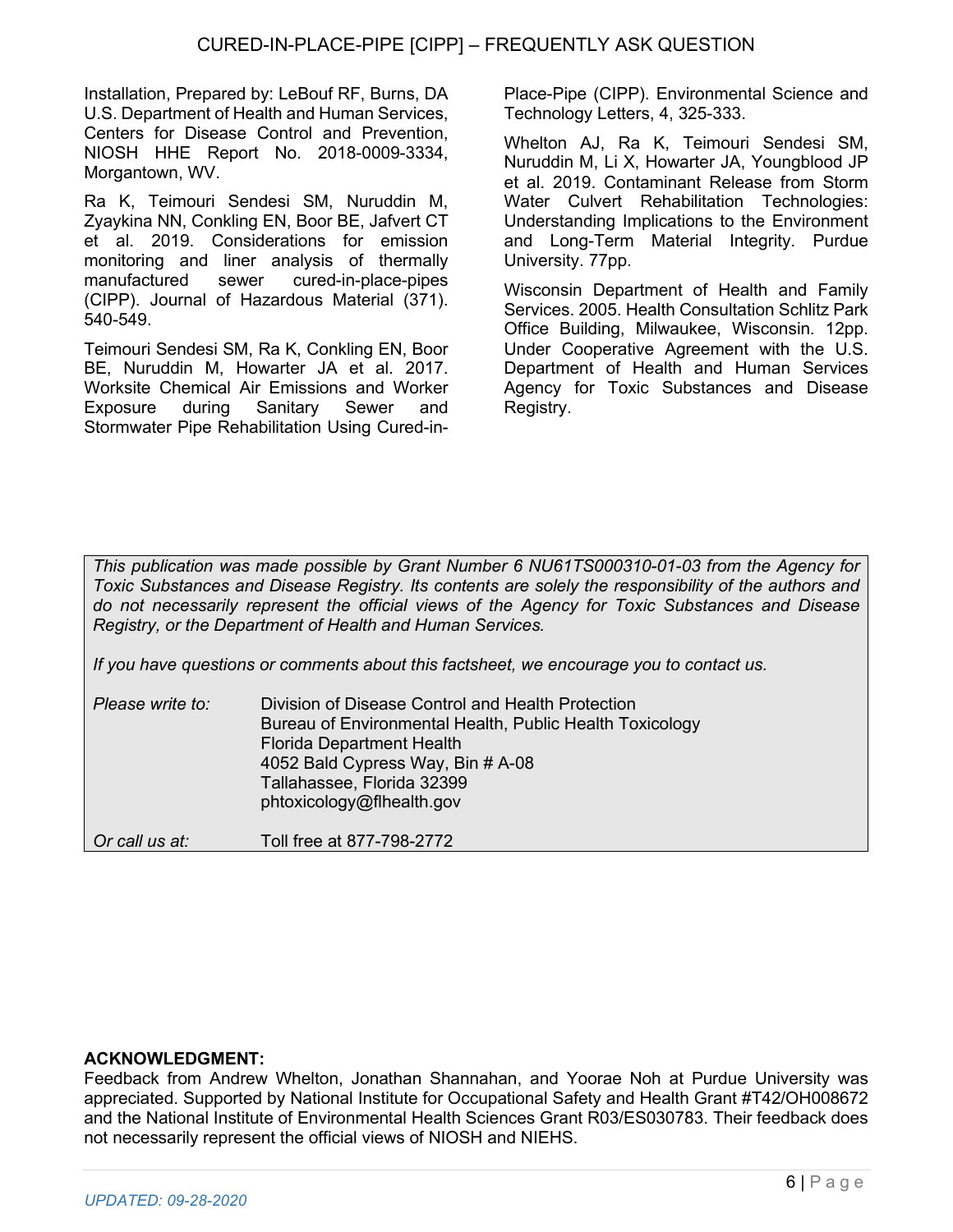Installation, Prepared by: LeBouf RF, Burns, DA U.S. Department of Health and Human Services, Centers for Disease Control and Prevention, NIOSH HHE Report No. 2018-0009-3334, Morgantown, WV.

Ra K, Teimouri Sendesi SM, Nuruddin M, Zyaykina NN, Conkling EN, Boor BE, Jafvert CT et al. 2019. Considerations for emission monitoring and liner analysis of thermally manufactured sewer cured-in-place-pipes (CIPP). Journal of Hazardous Material (371). 540-549.

Teimouri Sendesi SM, Ra K, Conkling EN, Boor BE, Nuruddin M, Howarter JA et al. 2017. Worksite Chemical Air Emissions and Worker Exposure during Sanitary Sewer and Stormwater Pipe Rehabilitation Using Cured-inPlace-Pipe (CIPP). Environmental Science and Technology Letters, 4, 325-333.

Whelton AJ, Ra K, Teimouri Sendesi SM, Nuruddin M, Li X, Howarter JA, Youngblood JP et al. 2019. Contaminant Release from Storm Water Culvert Rehabilitation Technologies: Understanding Implications to the Environment and Long-Term Material Integrity. Purdue University. 77pp.

Wisconsin Department of Health and Family Services. 2005. Health Consultation Schlitz Park Office Building, Milwaukee, Wisconsin. 12pp. Under Cooperative Agreement with the U.S. Department of Health and Human Services Agency for Toxic Substances and Disease Registry.

*This publication was made possible by Grant Number 6 NU61TS000310-01-03 from the Agency for Toxic Substances and Disease Registry. Its contents are solely the responsibility of the authors and do not necessarily represent the official views of the Agency for Toxic Substances and Disease Registry, or the Department of Health and Human Services.*

*If you have questions or comments about this factsheet, we encourage you to contact us.*

| Please write to: | Division of Disease Control and Health Protection<br>Bureau of Environmental Health, Public Health Toxicology<br><b>Florida Department Health</b><br>4052 Bald Cypress Way, Bin # A-08<br>Tallahassee, Florida 32399<br>phtoxicology@flhealth.gov |
|------------------|---------------------------------------------------------------------------------------------------------------------------------------------------------------------------------------------------------------------------------------------------|
| Or call us at:   | Toll free at 877-798-2772                                                                                                                                                                                                                         |

### **ACKNOWLEDGMENT:**

Feedback from Andrew Whelton, Jonathan Shannahan, and Yoorae Noh at Purdue University was appreciated. Supported by National Institute for Occupational Safety and Health Grant #T42/OH008672 and the National Institute of Environmental Health Sciences Grant R03/ES030783. Their feedback does not necessarily represent the official views of NIOSH and NIEHS.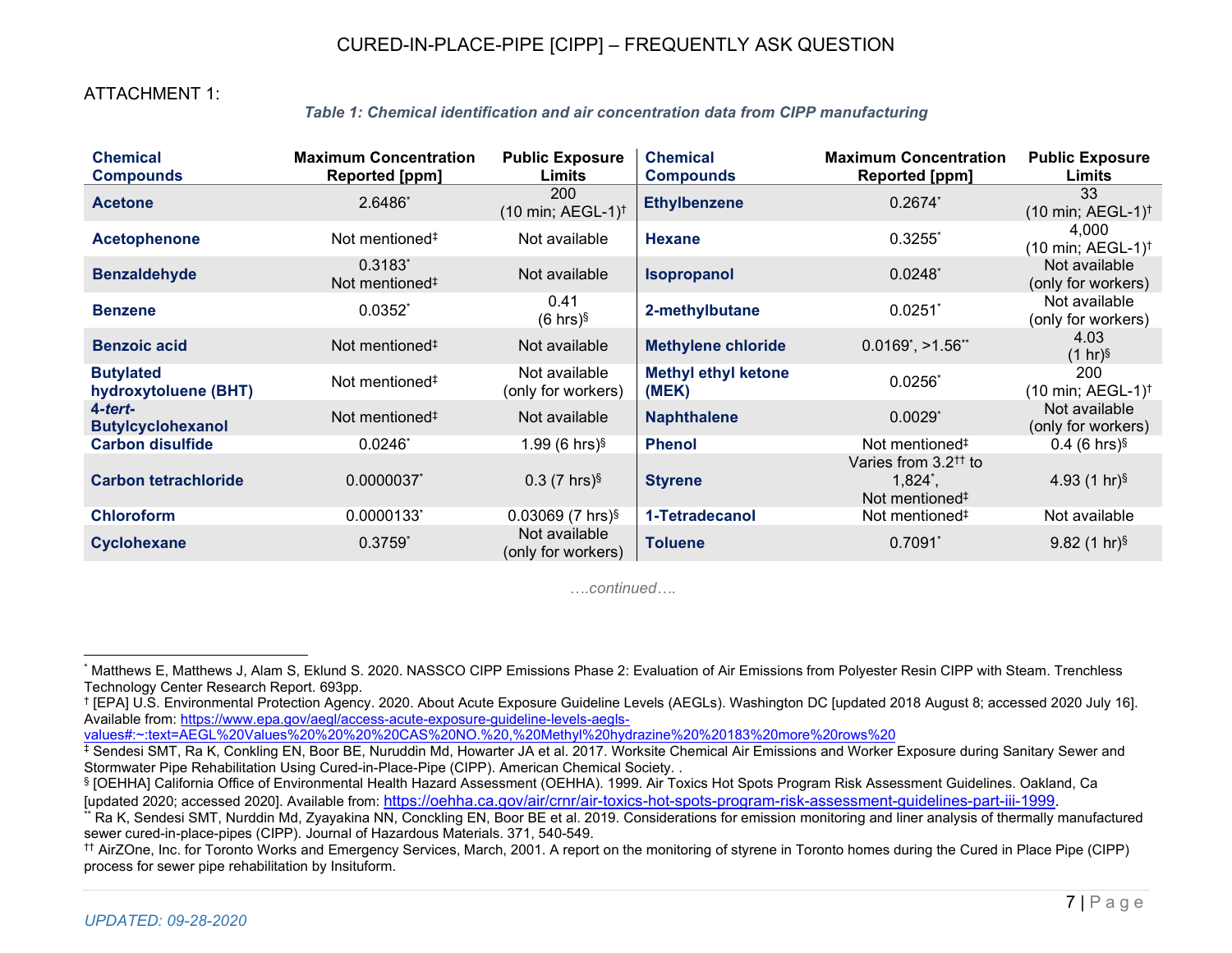# CURED-IN-PLACE-PIPE [CIPP] – FREQUENTLY ASK QUESTION

## ATTACHMENT 1:

#### *Table 1: Chemical identification and air concentration data from CIPP manufacturing*

| <b>Chemical</b><br><b>Compounds</b>      | <b>Maximum Concentration</b><br>Reported [ppm] | <b>Public Exposure</b><br>Limits               | <b>Chemical</b><br><b>Compounds</b> | <b>Maximum Concentration</b><br><b>Reported [ppm]</b>                                                                 | <b>Public Exposure</b><br>Limits                 |
|------------------------------------------|------------------------------------------------|------------------------------------------------|-------------------------------------|-----------------------------------------------------------------------------------------------------------------------|--------------------------------------------------|
| <b>Acetone</b>                           | 2.6486*                                        | 200<br>$(10 \text{ min}; AEGL-1)$ <sup>†</sup> | <b>Ethylbenzene</b>                 | $0.2674^{*}$                                                                                                          | 33<br>(10 min; AEGL-1) <sup>†</sup>              |
| <b>Acetophenone</b>                      | Not mentioned <sup>#</sup>                     | Not available                                  | <b>Hexane</b>                       | $0.3255$ <sup>*</sup>                                                                                                 | 4,000<br>$(10 \text{ min}; AEGL-1)$ <sup>†</sup> |
| <b>Benzaldehyde</b>                      | $0.3183*$<br>Not mentioned <sup>#</sup>        | Not available                                  | <b>Isopropanol</b>                  | $0.0248$ <sup>*</sup>                                                                                                 | Not available<br>(only for workers)              |
| <b>Benzene</b>                           | $0.0352^{*}$                                   | 0.41<br>$(6 \text{ hrs})\$                     | 2-methylbutane                      | 0.0251                                                                                                                | Not available<br>(only for workers)              |
| <b>Benzoic acid</b>                      | Not mentioned <sup>#</sup>                     | Not available                                  | <b>Methylene chloride</b>           | $0.0169$ <sup>*</sup> , >1.56 <sup>**</sup>                                                                           | 4.03<br>$(1 hr)^{§}$                             |
| <b>Butylated</b><br>hydroxytoluene (BHT) | Not mentioned <sup>#</sup>                     | Not available<br>(only for workers)            | <b>Methyl ethyl ketone</b><br>(MEK) | $0.0256^*$                                                                                                            | 200<br>$(10 \text{ min}; AEGL-1)^{\dagger}$      |
| 4-tert-<br><b>Butylcyclohexanol</b>      | Not mentioned <sup>#</sup>                     | Not available                                  | <b>Naphthalene</b>                  | $0.0029$ <sup>*</sup>                                                                                                 | Not available<br>(only for workers)              |
| <b>Carbon disulfide</b>                  | $0.0246^*$                                     | 1.99 (6 hrs) $\frac{5}{3}$                     | <b>Phenol</b>                       | Not mentioned <sup>#</sup>                                                                                            | $0.4$ (6 hrs) <sup>§</sup>                       |
| <b>Carbon tetrachloride</b>              | 0.0000037                                      | $0.3$ (7 hrs) $\frac{5}{3}$                    | <b>Styrene</b>                      | Varies from $3.2$ <sup><math>\dagger</math></sup> to<br>$1,824^*$ ,<br>Not mentioned <sup><math>\ddagger</math></sup> | 4.93 $(1 hr)^{§}$                                |
| <b>Chloroform</b>                        | 0.0000133                                      | $0.03069$ (7 hrs) <sup>§</sup>                 | 1-Tetradecanol                      | Not mentioned <sup>#</sup>                                                                                            | Not available                                    |
| Cyclohexane                              | $0.3759*$                                      | Not available<br>(only for workers)            | <b>Toluene</b>                      | $0.7091*$                                                                                                             | $9.82$ (1 hr) <sup>§</sup>                       |

*….continued….*

values#:~:text=AEGL%20Values%20%20%20%20CAS%20NO.%20,%20Methyl%20hydrazine%20%20183%20more%20rows%20

<sup>\*</sup> Matthews E, Matthews J, Alam S, Eklund S. 2020. NASSCO CIPP Emissions Phase 2: Evaluation of Air Emissions from Polyester Resin CIPP with Steam. Trenchless Technology Center Research Report. 693pp.

<sup>†</sup> [EPA] U.S. Environmental Protection Agency. 2020. About Acute Exposure Guideline Levels (AEGLs). Washington DC [updated 2018 August 8; accessed 2020 July 16]. Available from: https://www.epa.gov/aegl/access-acute-exposure-guideline-levels-aegls-

<sup>‡</sup> Sendesi SMT, Ra K, Conkling EN, Boor BE, Nuruddin Md, Howarter JA et al. 2017. Worksite Chemical Air Emissions and Worker Exposure during Sanitary Sewer and Stormwater Pipe Rehabilitation Using Cured-in-Place-Pipe (CIPP). American Chemical Society. .

<sup>§</sup> [OEHHA] California Office of Environmental Health Hazard Assessment (OEHHA). 1999. Air Toxics Hot Spots Program Risk Assessment Guidelines. Oakland, Ca [updated 2020; accessed 2020]. Available from: https://oehha.ca.gov/air/crnr/air-toxics-hot-spots-program-risk-assessment-guidelines-part-iii-1999.

Ra K, Sendesi SMT, Nurddin Md, Zyayakina NN, Conckling EN, Boor BE et al. 2019. Considerations for emission monitoring and liner analysis of thermally manufactured sewer cured-in-place-pipes (CIPP). Journal of Hazardous Materials. 371, 540-549.

<sup>††</sup> AirZOne, Inc. for Toronto Works and Emergency Services, March, 2001. A report on the monitoring of styrene in Toronto homes during the Cured in Place Pipe (CIPP) process for sewer pipe rehabilitation by Insituform.